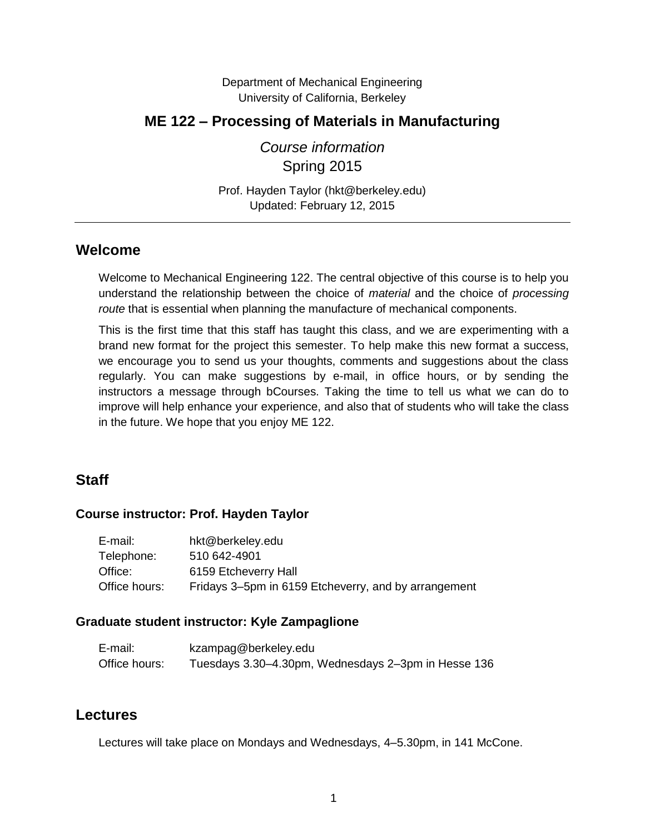Department of Mechanical Engineering University of California, Berkeley

## **ME 122 – Processing of Materials in Manufacturing**

*Course information* Spring 2015

Prof. Hayden Taylor (hkt@berkeley.edu) Updated: February 12, 2015

### **Welcome**

Welcome to Mechanical Engineering 122. The central objective of this course is to help you understand the relationship between the choice of *material* and the choice of *processing route* that is essential when planning the manufacture of mechanical components.

This is the first time that this staff has taught this class, and we are experimenting with a brand new format for the project this semester. To help make this new format a success, we encourage you to send us your thoughts, comments and suggestions about the class regularly. You can make suggestions by e-mail, in office hours, or by sending the instructors a message through bCourses. Taking the time to tell us what we can do to improve will help enhance your experience, and also that of students who will take the class in the future. We hope that you enjoy ME 122.

## **Staff**

#### **Course instructor: Prof. Hayden Taylor**

| E-mail:       | hkt@berkeley.edu                                     |
|---------------|------------------------------------------------------|
| Telephone:    | 510 642-4901                                         |
| Office:       | 6159 Etcheverry Hall                                 |
| Office hours: | Fridays 3–5pm in 6159 Etcheverry, and by arrangement |

#### **Graduate student instructor: Kyle Zampaglione**

| E-mail:       | kzampag@berkeley.edu                                |
|---------------|-----------------------------------------------------|
| Office hours: | Tuesdays 3.30–4.30pm, Wednesdays 2–3pm in Hesse 136 |

#### **Lectures**

Lectures will take place on Mondays and Wednesdays, 4–5.30pm, in 141 McCone.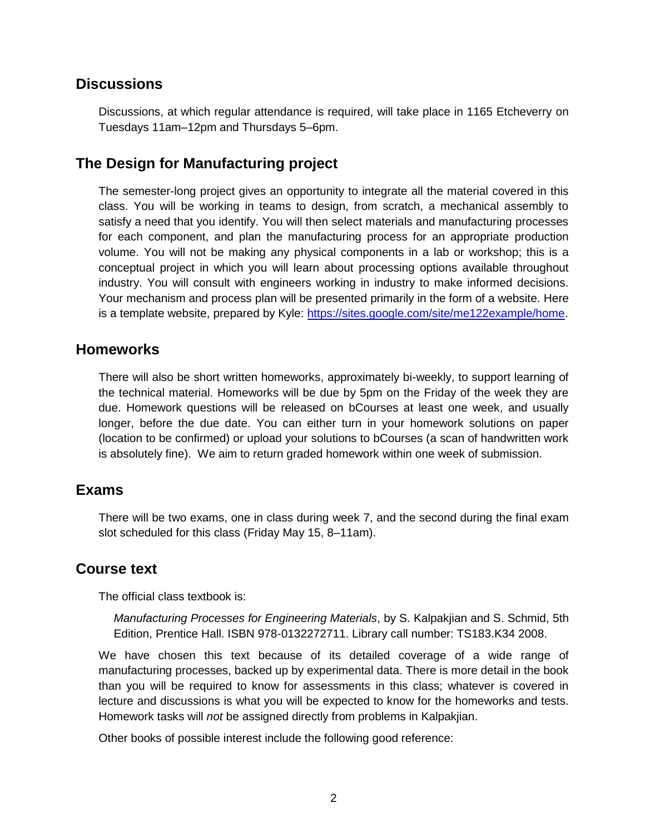#### **Discussions**

Discussions, at which regular attendance is required, will take place in 1165 Etcheverry on Tuesdays 11am–12pm and Thursdays 5–6pm.

## **The Design for Manufacturing project**

The semester-long project gives an opportunity to integrate all the material covered in this class. You will be working in teams to design, from scratch, a mechanical assembly to satisfy a need that you identify. You will then select materials and manufacturing processes for each component, and plan the manufacturing process for an appropriate production volume. You will not be making any physical components in a lab or workshop; this is a conceptual project in which you will learn about processing options available throughout industry. You will consult with engineers working in industry to make informed decisions. Your mechanism and process plan will be presented primarily in the form of a website. Here is a template website, prepared by Kyle: [https://sites.google.com/site/me122example/home.](https://sites.google.com/site/me122example/home)

#### **Homeworks**

There will also be short written homeworks, approximately bi-weekly, to support learning of the technical material. Homeworks will be due by 5pm on the Friday of the week they are due. Homework questions will be released on bCourses at least one week, and usually longer, before the due date. You can either turn in your homework solutions on paper (location to be confirmed) or upload your solutions to bCourses (a scan of handwritten work is absolutely fine). We aim to return graded homework within one week of submission.

#### **Exams**

There will be two exams, one in class during week 7, and the second during the final exam slot scheduled for this class (Friday May 15, 8–11am).

#### **Course text**

The official class textbook is:

*Manufacturing Processes for Engineering Materials*, by S. Kalpakjian and S. Schmid, 5th Edition, Prentice Hall. ISBN 978-0132272711. Library call number: TS183.K34 2008.

We have chosen this text because of its detailed coverage of a wide range of manufacturing processes, backed up by experimental data. There is more detail in the book than you will be required to know for assessments in this class; whatever is covered in lecture and discussions is what you will be expected to know for the homeworks and tests. Homework tasks will *not* be assigned directly from problems in Kalpakjian.

Other books of possible interest include the following good reference: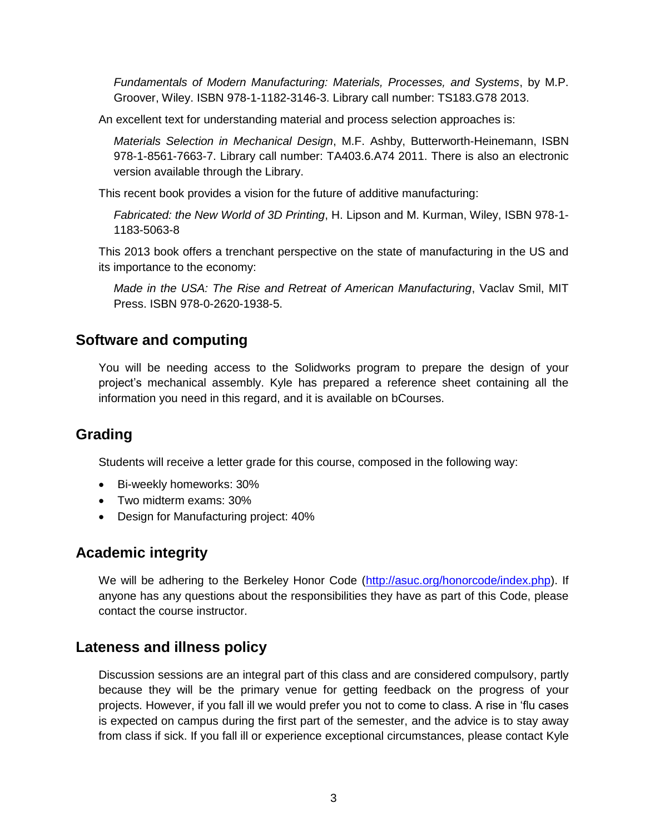*Fundamentals of Modern Manufacturing: Materials, Processes, and Systems*, by M.P. Groover, Wiley. ISBN 978-1-1182-3146-3. Library call number: TS183.G78 2013.

An excellent text for understanding material and process selection approaches is:

*Materials Selection in Mechanical Design*, M.F. Ashby, Butterworth-Heinemann, ISBN 978-1-8561-7663-7. Library call number: [TA403.6.A74 2011.](http://oskicat.berkeley.edu/search~S1?/cTA403.6+.A74+2011/cta++403.6+a74+2011/-3,-1,,B/browse) There is also an electronic version available through the Library.

This recent book provides a vision for the future of additive manufacturing:

*Fabricated: the New World of 3D Printing*, H. Lipson and M. Kurman, Wiley, ISBN 978-1- 1183-5063-8

This 2013 book offers a trenchant perspective on the state of manufacturing in the US and its importance to the economy:

*Made in the USA: The Rise and Retreat of American Manufacturing*, Vaclav Smil, MIT Press. ISBN 978-0-2620-1938-5.

## **Software and computing**

You will be needing access to the Solidworks program to prepare the design of your project's mechanical assembly. Kyle has prepared a reference sheet containing all the information you need in this regard, and it is available on bCourses.

# **Grading**

Students will receive a letter grade for this course, composed in the following way:

- Bi-weekly homeworks: 30%
- Two midterm exams: 30%
- Design for Manufacturing project: 40%

## **Academic integrity**

We will be adhering to the Berkeley Honor Code [\(http://asuc.org/honorcode/index.php\)](http://asuc.org/honorcode/index.php). If anyone has any questions about the responsibilities they have as part of this Code, please contact the course instructor.

# **Lateness and illness policy**

Discussion sessions are an integral part of this class and are considered compulsory, partly because they will be the primary venue for getting feedback on the progress of your projects. However, if you fall ill we would prefer you not to come to class. A rise in 'flu cases is expected on campus during the first part of the semester, and the advice is to stay away from class if sick. If you fall ill or experience exceptional circumstances, please contact Kyle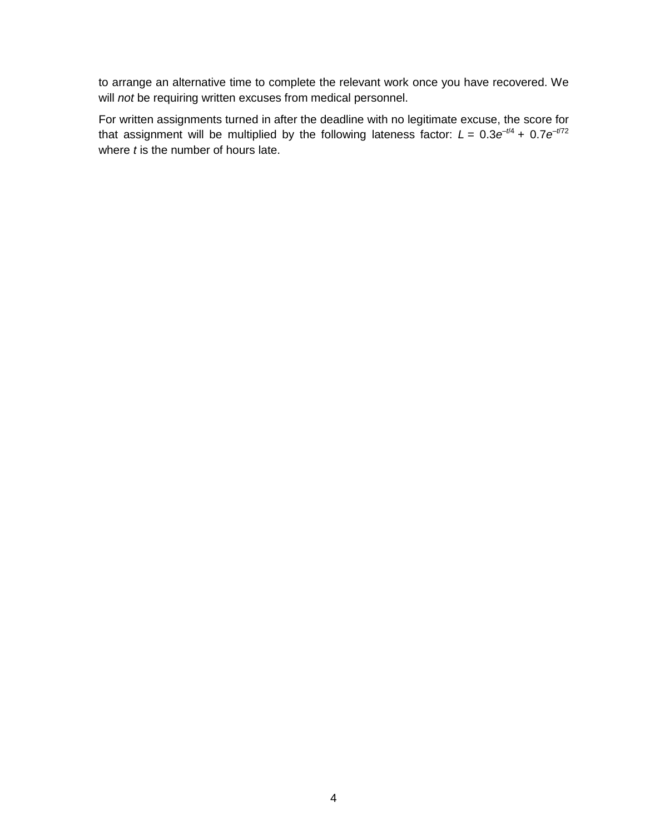to arrange an alternative time to complete the relevant work once you have recovered. We will *not* be requiring written excuses from medical personnel.

For written assignments turned in after the deadline with no legitimate excuse, the score for that assignment will be multiplied by the following lateness factor:  $L = 0.3e^{-t/4} + 0.7e^{-t/72}$ where *t* is the number of hours late.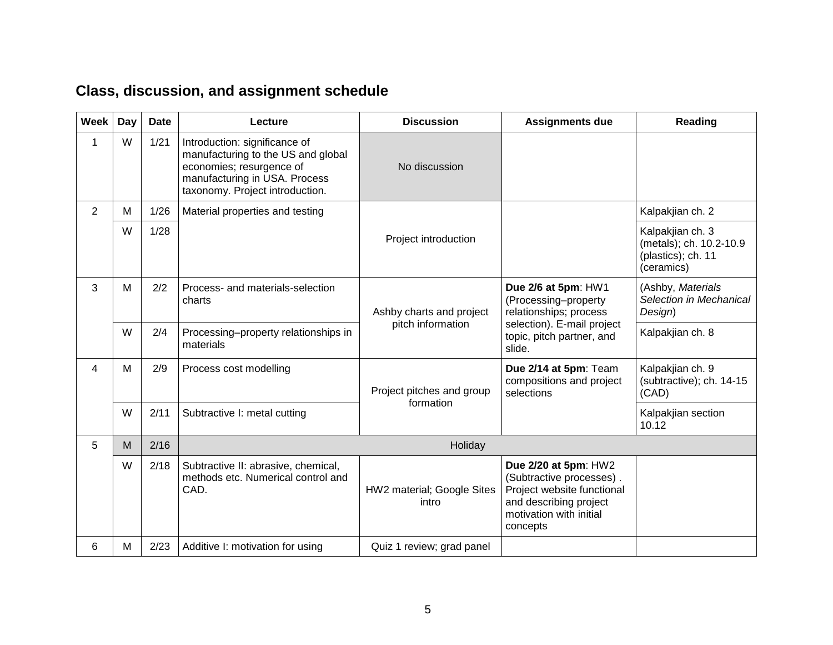# **Class, discussion, and assignment schedule**

| Week | Day | <b>Date</b> | Lecture                                                                                                                                                             | <b>Discussion</b>                      | <b>Assignments due</b>                                                                                                                          | Reading                                                                         |
|------|-----|-------------|---------------------------------------------------------------------------------------------------------------------------------------------------------------------|----------------------------------------|-------------------------------------------------------------------------------------------------------------------------------------------------|---------------------------------------------------------------------------------|
|      | W   | 1/21        | Introduction: significance of<br>manufacturing to the US and global<br>economies; resurgence of<br>manufacturing in USA. Process<br>taxonomy. Project introduction. | No discussion                          |                                                                                                                                                 |                                                                                 |
| 2    | M   | 1/26        | Material properties and testing                                                                                                                                     |                                        |                                                                                                                                                 | Kalpakjian ch. 2                                                                |
|      | W   | 1/28        |                                                                                                                                                                     | Project introduction                   |                                                                                                                                                 | Kalpakjian ch. 3<br>(metals); ch. 10.2-10.9<br>(plastics); ch. 11<br>(ceramics) |
| 3    | M   | 2/2         | Process- and materials-selection<br>charts                                                                                                                          | Ashby charts and project               | Due 2/6 at 5pm: HW1<br>(Processing-property<br>relationships; process<br>selection). E-mail project<br>topic, pitch partner, and<br>slide.      | (Ashby, Materials<br>Selection in Mechanical<br>Design)                         |
|      | W   | 2/4         | Processing-property relationships in<br>materials                                                                                                                   | pitch information                      |                                                                                                                                                 | Kalpakjian ch. 8                                                                |
| 4    | M   | 2/9         | Process cost modelling                                                                                                                                              | Project pitches and group<br>formation | Due 2/14 at 5pm: Team<br>compositions and project<br>selections                                                                                 | Kalpakjian ch. 9<br>(subtractive); ch. 14-15<br>(CAD)                           |
|      | W   | 2/11        | Subtractive I: metal cutting                                                                                                                                        |                                        |                                                                                                                                                 | Kalpakjian section<br>10.12                                                     |
| 5    | M   | 2/16        | Holiday                                                                                                                                                             |                                        |                                                                                                                                                 |                                                                                 |
|      | W   | 2/18        | Subtractive II: abrasive, chemical,<br>methods etc. Numerical control and<br>CAD.                                                                                   | HW2 material; Google Sites<br>intro    | Due 2/20 at 5pm: HW2<br>(Subtractive processes).<br>Project website functional<br>and describing project<br>motivation with initial<br>concepts |                                                                                 |
| 6    | M   | 2/23        | Additive I: motivation for using                                                                                                                                    | Quiz 1 review; grad panel              |                                                                                                                                                 |                                                                                 |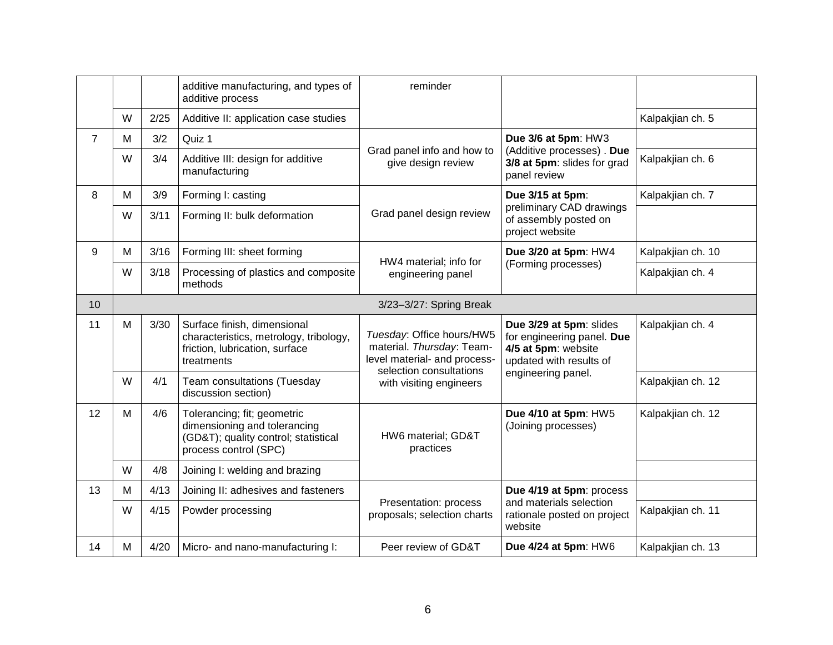|                 |   |      | additive manufacturing, and types of<br>additive process                                                                     | reminder                                                                               |                                                                                                                               |                   |
|-----------------|---|------|------------------------------------------------------------------------------------------------------------------------------|----------------------------------------------------------------------------------------|-------------------------------------------------------------------------------------------------------------------------------|-------------------|
|                 | W | 2/25 | Additive II: application case studies                                                                                        |                                                                                        |                                                                                                                               | Kalpakjian ch. 5  |
| $\overline{7}$  | М | 3/2  | Quiz 1                                                                                                                       |                                                                                        | Due 3/6 at 5pm: HW3                                                                                                           |                   |
|                 | W | 3/4  | Additive III: design for additive<br>manufacturing                                                                           | Grad panel info and how to<br>give design review                                       | (Additive processes) . Due<br>3/8 at 5pm: slides for grad<br>panel review                                                     | Kalpakjian ch. 6  |
| 8               | м | 3/9  | Forming I: casting                                                                                                           |                                                                                        | Due 3/15 at 5pm:<br>preliminary CAD drawings<br>of assembly posted on<br>project website                                      | Kalpakjian ch. 7  |
|                 | W | 3/11 | Forming II: bulk deformation                                                                                                 | Grad panel design review                                                               |                                                                                                                               |                   |
| 9               | M | 3/16 | Forming III: sheet forming                                                                                                   | HW4 material; info for                                                                 | Due 3/20 at 5pm: HW4                                                                                                          | Kalpakjian ch. 10 |
|                 | W | 3/18 | Processing of plastics and composite<br>methods                                                                              | engineering panel                                                                      | (Forming processes)                                                                                                           | Kalpakjian ch. 4  |
| 10 <sup>°</sup> |   |      |                                                                                                                              | 3/23-3/27: Spring Break                                                                |                                                                                                                               |                   |
| 11              | M | 3/30 | Surface finish, dimensional<br>characteristics, metrology, tribology,<br>friction, lubrication, surface<br>treatments        | Tuesday: Office hours/HW5<br>material. Thursday: Team-<br>level material- and process- | Due 3/29 at 5pm: slides<br>for engineering panel. Due<br>4/5 at 5pm: website<br>updated with results of<br>engineering panel. | Kalpakjian ch. 4  |
|                 | W | 4/1  | Team consultations (Tuesday<br>discussion section)                                                                           | selection consultations<br>with visiting engineers                                     |                                                                                                                               | Kalpakjian ch. 12 |
| 12              | M | 4/6  | Tolerancing; fit; geometric<br>dimensioning and tolerancing<br>(GD&T); quality control; statistical<br>process control (SPC) | HW6 material; GD&T<br>practices                                                        | Due 4/10 at 5pm: HW5<br>(Joining processes)                                                                                   | Kalpakjian ch. 12 |
|                 | W | 4/8  | Joining I: welding and brazing                                                                                               |                                                                                        |                                                                                                                               |                   |
| 13              | M | 4/13 | Joining II: adhesives and fasteners                                                                                          |                                                                                        | Due 4/19 at 5pm: process                                                                                                      |                   |
|                 | W | 4/15 | Powder processing                                                                                                            | Presentation: process<br>proposals; selection charts                                   | and materials selection<br>rationale posted on project<br>website                                                             | Kalpakjian ch. 11 |
| 14              | м | 4/20 | Micro- and nano-manufacturing I:                                                                                             | Peer review of GD&T                                                                    | Due 4/24 at 5pm: HW6                                                                                                          | Kalpakjian ch. 13 |